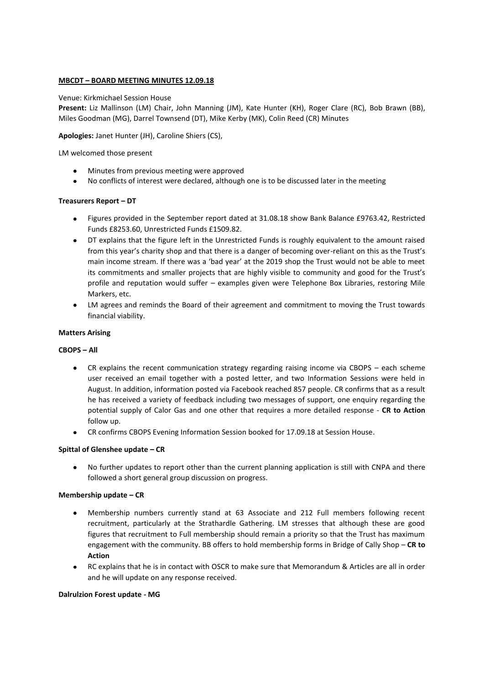### **MBCDT – BOARD MEETING MINUTES 12.09.18**

#### Venue: Kirkmichael Session House

**Present:** Liz Mallinson (LM) Chair, John Manning (JM), Kate Hunter (KH), Roger Clare (RC), Bob Brawn (BB), Miles Goodman (MG), Darrel Townsend (DT), Mike Kerby (MK), Colin Reed (CR) Minutes

**Apologies:** Janet Hunter (JH), Caroline Shiers (CS),

LM welcomed those present

- Minutes from previous meeting were approved
- No conflicts of interest were declared, although one is to be discussed later in the meeting

#### **Treasurers Report – DT**

- Figures provided in the September report dated at 31.08.18 show Bank Balance £9763.42, Restricted Funds £8253.60, Unrestricted Funds £1509.82.
- $\bullet$ DT explains that the figure left in the Unrestricted Funds is roughly equivalent to the amount raised from this year's charity shop and that there is a danger of becoming over-reliant on this as the Trust's main income stream. If there was a 'bad year' at the 2019 shop the Trust would not be able to meet its commitments and smaller projects that are highly visible to community and good for the Trust's profile and reputation would suffer – examples given were Telephone Box Libraries, restoring Mile Markers, etc.
- LM agrees and reminds the Board of their agreement and commitment to moving the Trust towards financial viability.

#### **Matters Arising**

#### **CBOPS – All**

- CR explains the recent communication strategy regarding raising income via CBOPS each scheme user received an email together with a posted letter, and two Information Sessions were held in August. In addition, information posted via Facebook reached 857 people. CR confirms that as a result he has received a variety of feedback including two messages of support, one enquiry regarding the potential supply of Calor Gas and one other that requires a more detailed response - **CR to Action**  follow up.
- CR confirms CBOPS Evening Information Session booked for 17.09.18 at Session House.

#### **Spittal of Glenshee update – CR**

No further updates to report other than the current planning application is still with CNPA and there followed a short general group discussion on progress.

#### **Membership update – CR**

- $\bullet$ Membership numbers currently stand at 63 Associate and 212 Full members following recent recruitment, particularly at the Strathardle Gathering. LM stresses that although these are good figures that recruitment to Full membership should remain a priority so that the Trust has maximum engagement with the community. BB offers to hold membership forms in Bridge of Cally Shop – **CR to Action**
- RC explains that he is in contact with OSCR to make sure that Memorandum & Articles are all in order and he will update on any response received.

#### **Dalrulzion Forest update - MG**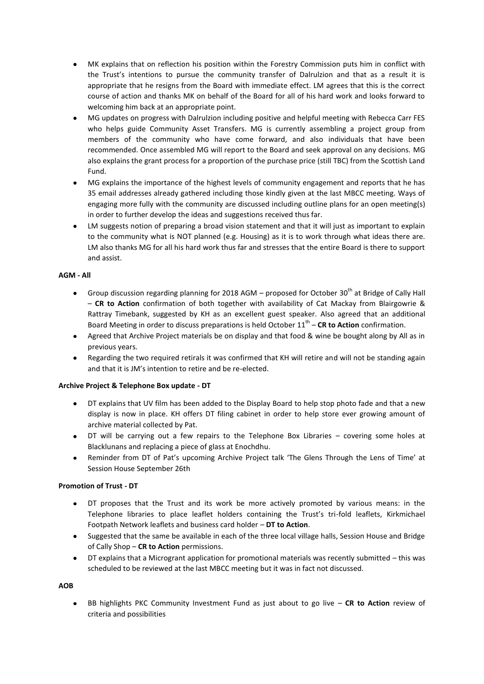- MK explains that on reflection his position within the Forestry Commission puts him in conflict with  $\bullet$ the Trust's intentions to pursue the community transfer of Dalrulzion and that as a result it is appropriate that he resigns from the Board with immediate effect. LM agrees that this is the correct course of action and thanks MK on behalf of the Board for all of his hard work and looks forward to welcoming him back at an appropriate point.
- MG updates on progress with Dalrulzion including positive and helpful meeting with Rebecca Carr FES who helps guide Community Asset Transfers. MG is currently assembling a project group from members of the community who have come forward, and also individuals that have been recommended. Once assembled MG will report to the Board and seek approval on any decisions. MG also explains the grant process for a proportion of the purchase price (still TBC) from the Scottish Land Fund.
- $\bullet$ MG explains the importance of the highest levels of community engagement and reports that he has 35 email addresses already gathered including those kindly given at the last MBCC meeting. Ways of engaging more fully with the community are discussed including outline plans for an open meeting(s) in order to further develop the ideas and suggestions received thus far.
- LM suggests notion of preparing a broad vision statement and that it will just as important to explain to the community what is NOT planned (e.g. Housing) as it is to work through what ideas there are. LM also thanks MG for all his hard work thus far and stresses that the entire Board is there to support and assist.

# **AGM - All**

- Group discussion regarding planning for 2018 AGM proposed for October 30<sup>th</sup> at Bridge of Cally Hall – **CR to Action** confirmation of both together with availability of Cat Mackay from Blairgowrie & Rattray Timebank, suggested by KH as an excellent guest speaker. Also agreed that an additional Board Meeting in order to discuss preparations is held October 11<sup>th</sup> – **CR to Action** confirmation.
- Agreed that Archive Project materials be on display and that food & wine be bought along by All as in previous years.
- Regarding the two required retirals it was confirmed that KH will retire and will not be standing again and that it is JM's intention to retire and be re-elected.

#### **Archive Project & Telephone Box update - DT**

- DT explains that UV film has been added to the Display Board to help stop photo fade and that a new display is now in place. KH offers DT filing cabinet in order to help store ever growing amount of archive material collected by Pat.
- $\bullet$ DT will be carrying out a few repairs to the Telephone Box Libraries – covering some holes at Blacklunans and replacing a piece of glass at Enochdhu.
- $\bullet$ Reminder from DT of Pat's upcoming Archive Project talk 'The Glens Through the Lens of Time' at Session House September 26th

#### **Promotion of Trust - DT**

- DT proposes that the Trust and its work be more actively promoted by various means: in the Telephone libraries to place leaflet holders containing the Trust's tri-fold leaflets, Kirkmichael Footpath Network leaflets and business card holder – **DT to Action**.
- Suggested that the same be available in each of the three local village halls, Session House and Bridge of Cally Shop – **CR to Action** permissions.
- DT explains that a Microgrant application for promotional materials was recently submitted this was  $\bullet$ scheduled to be reviewed at the last MBCC meeting but it was in fact not discussed.

**AOB**

BB highlights PKC Community Investment Fund as just about to go live – **CR to Action** review of  $\bullet$ criteria and possibilities